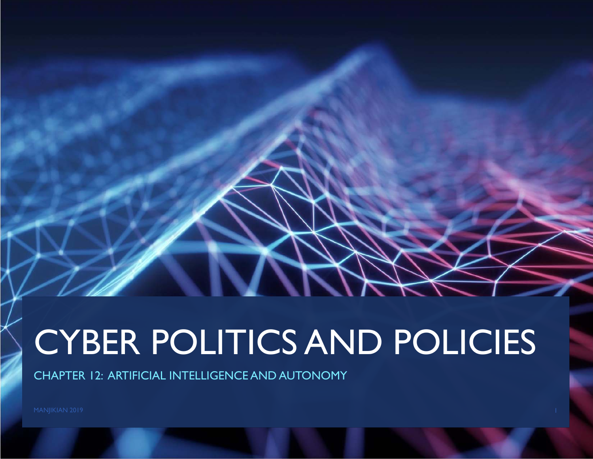# CYBER POLITICS AND POLICIES

CHAPTER 12: ARTIFICIAL INTELLIGENCE AND AUTONOMY

MANJIKIAN 2019 **1986 - Pada Secara Perancil Perancil** Perancil Perancil Perancil Perancil Perancil Perancil Perancil Perancil Perancil Perancil Perancil Perancil Perancil Perancil Perancil Perancil Perancil Perancil Peranc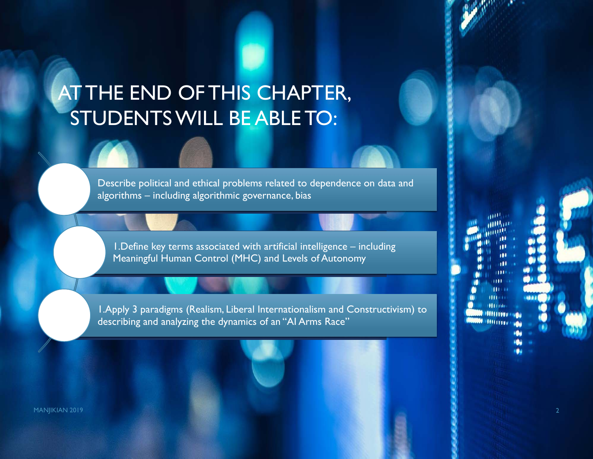# AT THE END OF THIS CHAPTER, STUDENTS WILL BE ABLE TO:

Describe political and ethical problems related to dependence on data and algorithms – including algorithmic governance, bias

1.Define key terms associated with artificial intelligence – including Meaningful Human Control (MHC) and Levels of Autonomy

1.Apply 3 paradigms (Realism, Liberal Internationalism and Constructivism) to describing and analyzing the dynamics of an "AI Arms Race"

**ALL IN** 

MANJIKIAN 2019 **2018 - Pamasang Pamasang Pamasang Pamasang Pamasang Pamasang Pamasang Pamasang Pamasang Pamasang**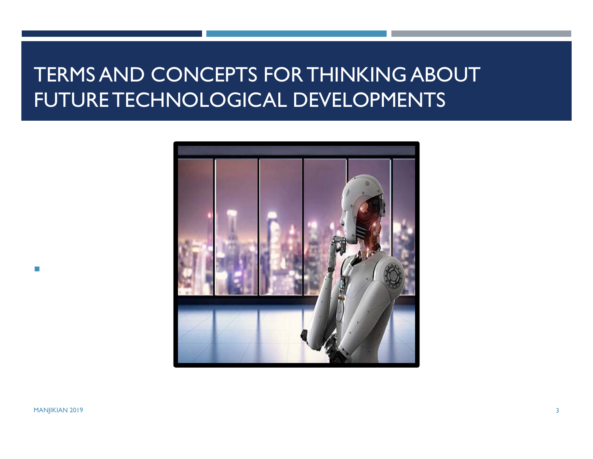### TERMS AND CONCEPTS FOR THINKING ABOUT FUTURE TECHNOLOGICAL DEVELOPMENTS



MANJIKIAN 2019 3

 $\mathcal{L}_{\mathcal{A}}$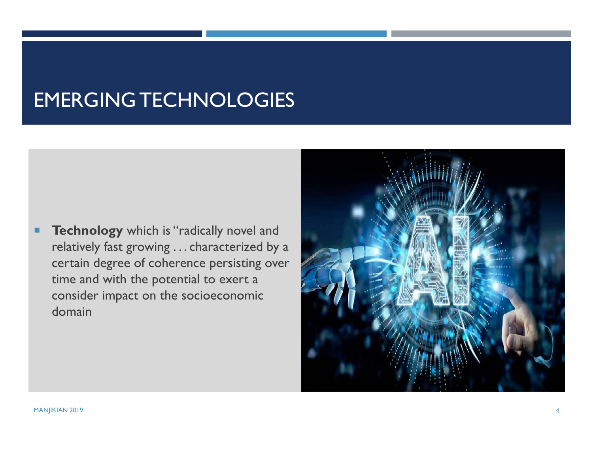### EMERGING TECHNOLOGIES

п **Technology** which is "radically novel and relatively fast growing . . . characterized by a certain degree of coherence persisting over time and with the potential to exert a consider impact on the socioeconomic domain

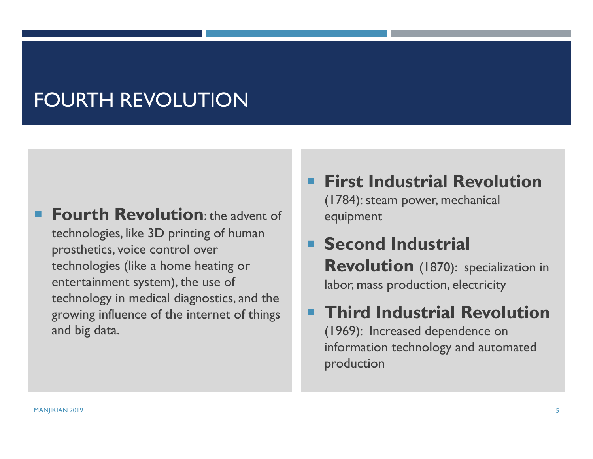### FOURTH REVOLUTION

- **Fourth Revolution:** the advent of technologies, like 3D printing of human prosthetics, voice control over technologies (like a home heating or entertainment system), the use of technology in medical diagnostics, and the growing influence of the internet of things and big data.
- **First Industrial Revolution**

(1784): steam power, mechanical equipment

### **Second Industrial Revolution** (1870): specialization in labor, mass production, electricity

### **Third Industrial Revolution**  (1969): Increased dependence on information technology and automated production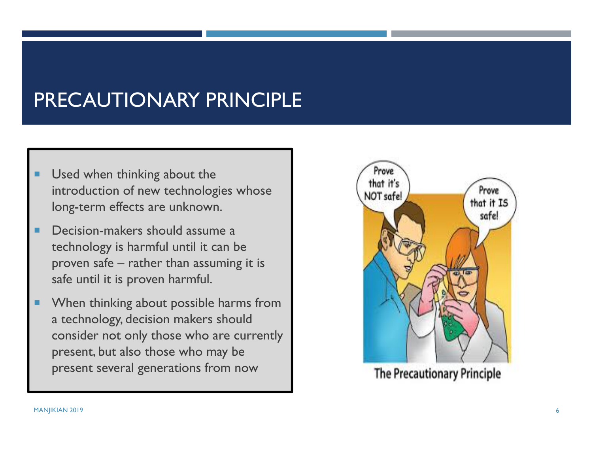### PRECAUTIONARY PRINCIPLE

- ٠ Used when thinking about the introduction of new technologies whose long-term effects are unknown.
- ٠ Decision-makers should assume a technology is harmful until it can be proven safe – rather than assuming it is safe until it is proven harmful.
- п When thinking about possible harms from a technology, decision makers should consider not only those who are currently present, but also those who may be present several generations from now



**The Precautionary Principle**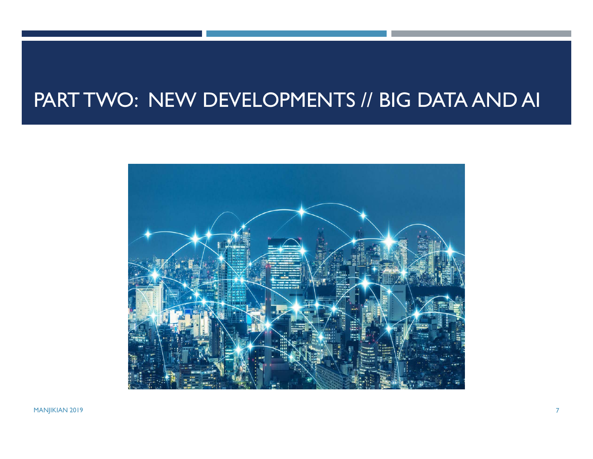### PART TWO: NEW DEVELOPMENTS // BIG DATA AND AI

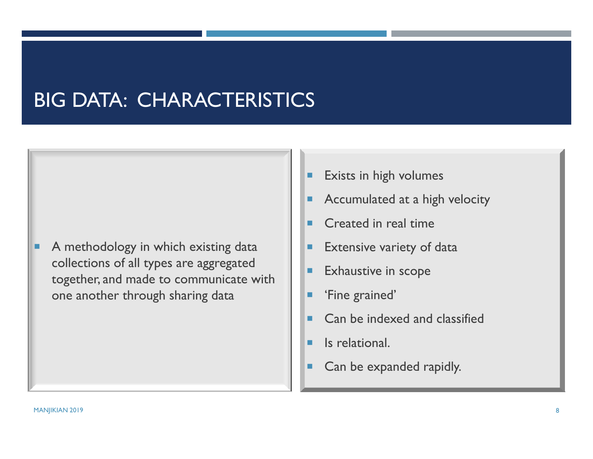### BIG DATA: CHARACTERISTICS

ш A methodology in which existing data collections of all types are aggregated together, and made to communicate with one another through sharing data

- ٠ Exists in high volumes
- Accumulated at a high velocity
- **Created in real time**
- ٠ Extensive variety of data
- ٠ Exhaustive in scope
- ٠ 'Fine grained'
- ٠ Can be indexed and classified
- ٠ Is relational.
- ٠ Can be expanded rapidly.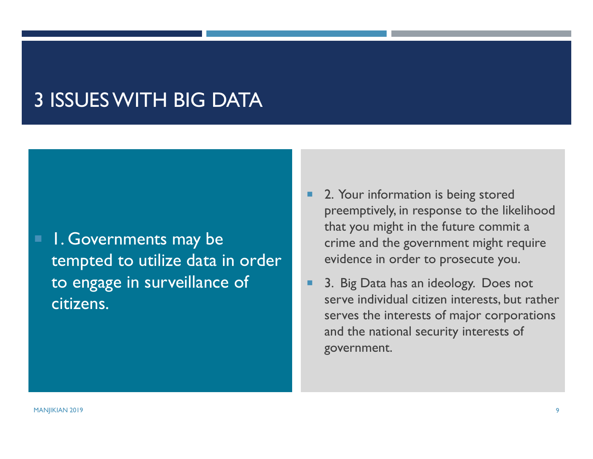### 3 ISSUES WITH BIG DATA

 1. Governments may be tempted to utilize data in order to engage in surveillance of citizens.

- П 2. Your information is being stored preemptively, in response to the likelihood that you might in the future commit a crime and the government might require evidence in order to prosecute you.
- 3. Big Data has an ideology. Does not serve individual citizen interests, but rather serves the interests of major corporations and the national security interests of government.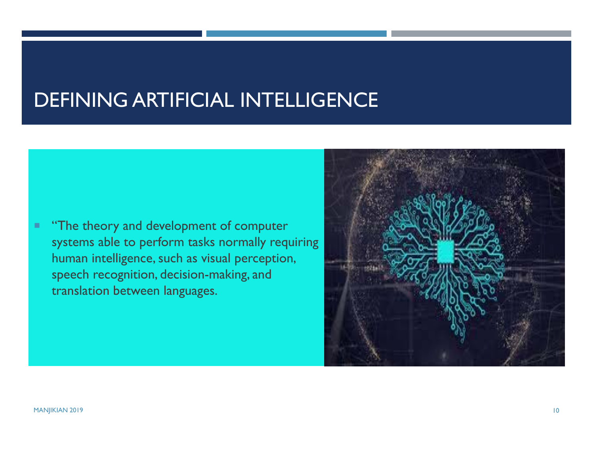### DEFINING ARTIFICIAL INTELLIGENCE

٠ "The theory and development of computer systems able to perform tasks normally requiring human intelligence, such as visual perception, speech recognition, decision-making, and translation between languages.

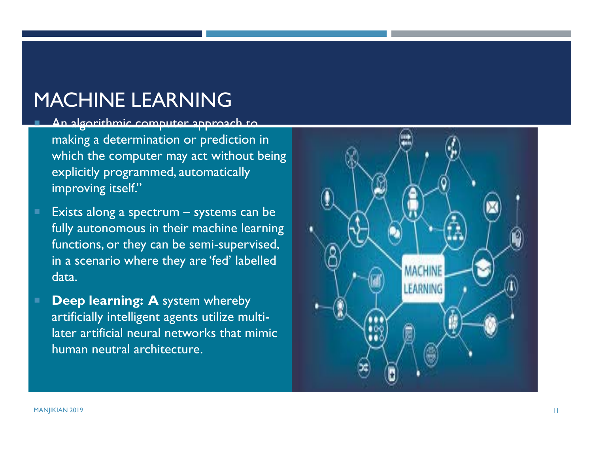### MACHINE LEARNING

#### An algorithmic computer approach to

making a determination or prediction in which the computer may act without being explicitly programmed, automatically improving itself."

- Exists along a spectrum systems can be fully autonomous in their machine learning functions, or they can be semi-supervised, in a scenario where they are 'fed' labelled data.
- **Deep learning: A** system whereby artificially intelligent agents utilize multilater artificial neural networks that mimic human neutral architecture.

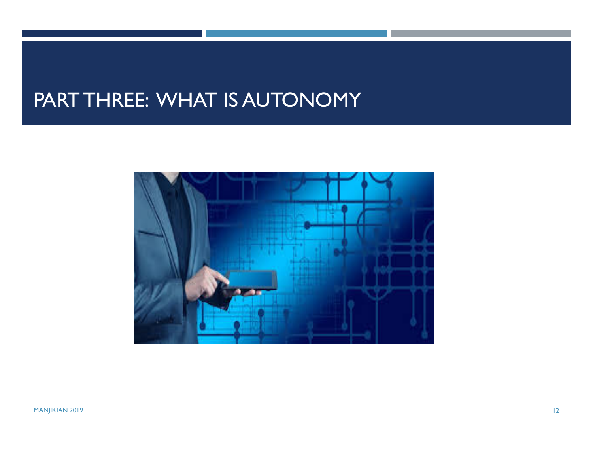### PART THREE: WHAT IS AUTONOMY

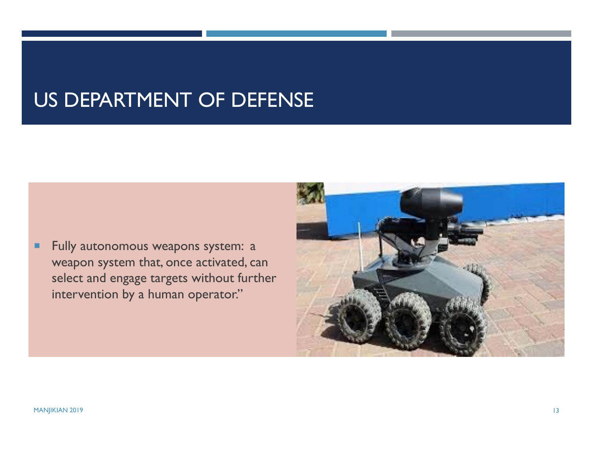### US DEPARTMENT OF DEFENSE

٠ Fully autonomous weapons system: a weapon system that, once activated, can select and engage targets without further intervention by a human operator."

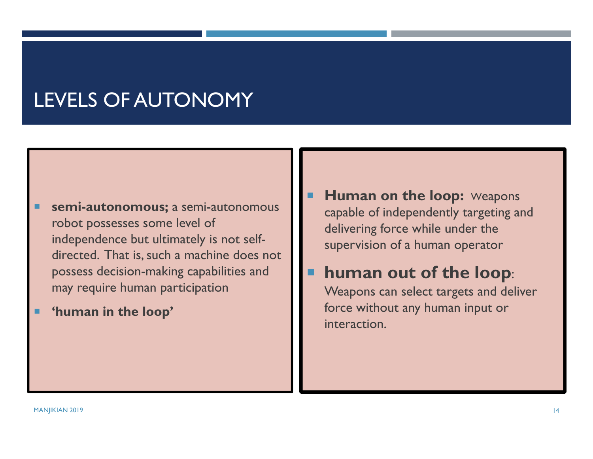### LEVELS OF AUTONOMY

- ٠ **semi-autonomous;** a semi-autonomous robot possesses some level of independence but ultimately is not selfdirected. That is, such a machine does not possess decision-making capabilities and may require human participation
- ٠ **'human in the loop'**
- **E** Human on the loop: Weapons capable of independently targeting and delivering force while under the supervision of a human operator
- **human out of the loop**:

Weapons can select targets and deliver force without any human input or interaction.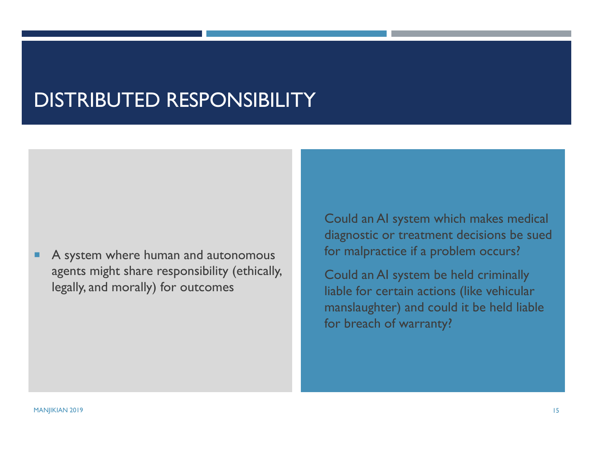### DISTRIBUTED RESPONSIBILITY

п A system where human and autonomous agents might share responsibility (ethically, legally, and morally) for outcomes

 Could an AI system which makes medical diagnostic or treatment decisions be sued for malpractice if a problem occurs?

 Could an AI system be held criminally liable for certain actions (like vehicular manslaughter) and could it be held liable for breach of warranty?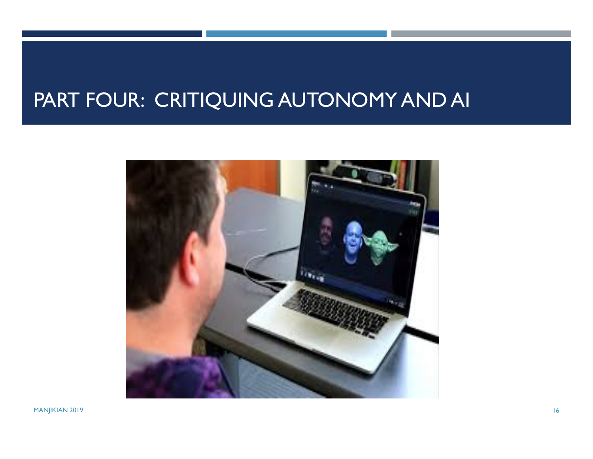# PART FOUR: CRITIQUING AUTONOMY AND AI

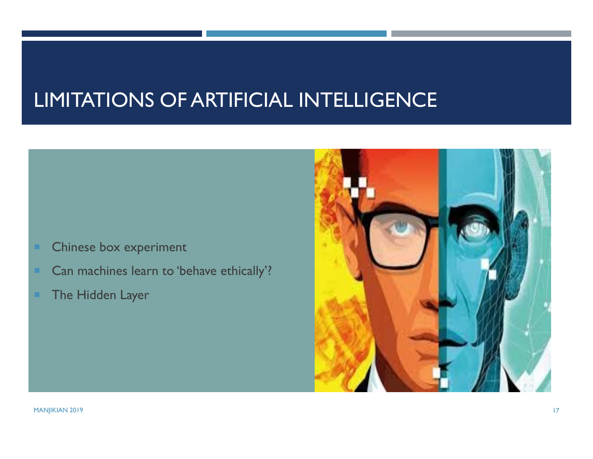### LIMITATIONS OF ARTIFICIAL INTELLIGENCE

- Chinese box experiment
- Can machines learn to 'behave ethically'?
- The Hidden Layer

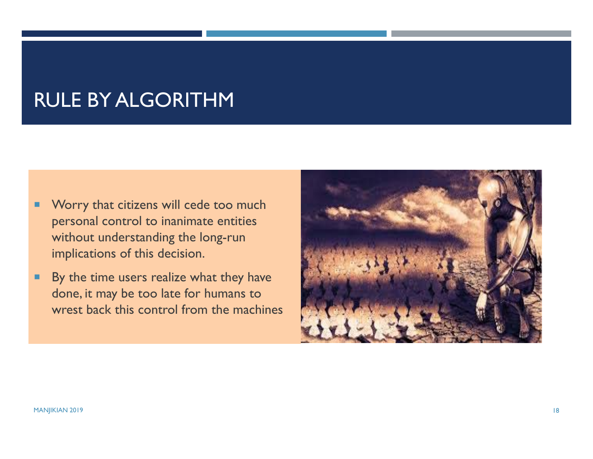### RULE BY ALGORITHM

- ٠ Worry that citizens will cede too much personal control to inanimate entities without understanding the long-run implications of this decision.
- ٠ By the time users realize what they have done, it may be too late for humans to wrest back this control from the machines

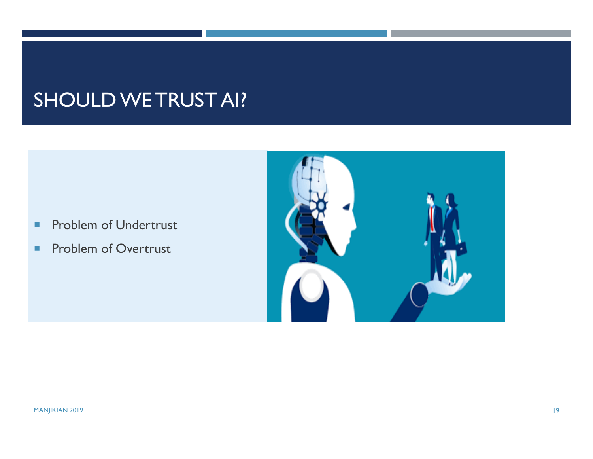### SHOULD WE TRUST AI?

- $\mathcal{L}_{\mathcal{A}}$ Problem of Undertrust
- $\blacksquare$ Problem of Overtrust

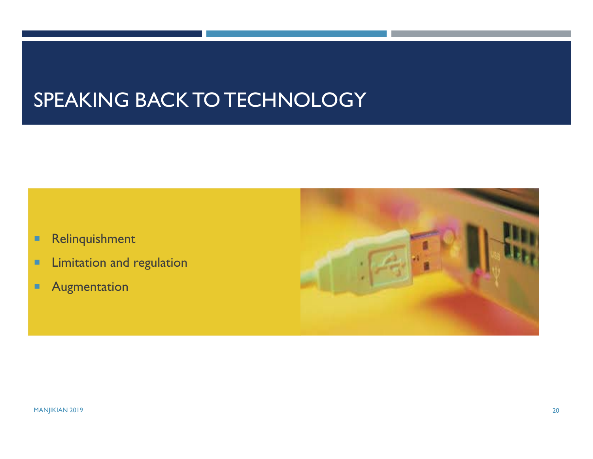### SPEAKING BACK TO TECHNOLOGY

- × Relinquishment
- п Limitation and regulation
- п Augmentation